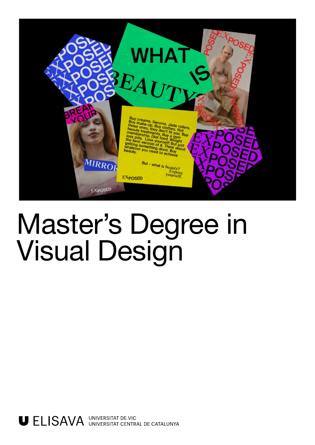

# Master's Degree in Visual Design

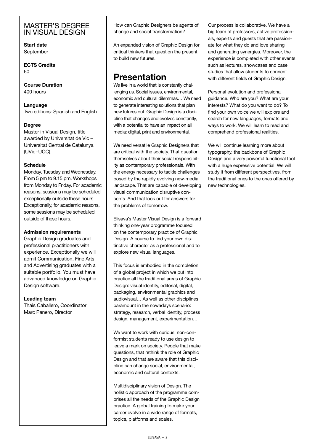# MASTER'S DEGREE IN VISUAL DESIGN

Start date September

ECTS Credits 60

Course Duration 400 hours

#### Language

Two editions: Spanish and English.

## **Degree**

Master in Visual Design, title awarded by Universitat de Vic – Universitat Central de Catalunya (UVic-UCC).

## **Schedule**

Monday, Tuesday and Wednesday. From 5 pm to 9.15 pm. Workshops from Monday to Friday. For academic reasons, sessions may be scheduled exceptionally outside these hours. Exceptionally, for academic reasons, some sessions may be scheduled outside of these hours.

## Admission requirements

Graphic Design graduates and professional practitioners with experience. Exceptionally we will admit Communication, Fine Arts and Advertising graduates with a suitable portfolio. You must have advanced knowledge on Graphic Design software.

## Leading team

Thais Caballero, Coordinator Marc Panero, Director

How can Graphic Designers be agents of change and social transformation?

An expanded vision of Graphic Design for critical thinkers that question the present to build new futures.

# Presentation

We live in a world that is constantly challenging us. Social issues, environmental, economic and cultural dilemmas… We need to generate interesting solutions that plan new futures out. Graphic Design is a discipline that changes and evolves constantly, with a potential to have an impact on all media: digital, print and environmental.

We need versatile Graphic Designers that are critical with the society. That question themselves about their social responsibility as contemporary professionals. With the energy necessary to tackle challenges posed by the rapidly evolving new-media landscape. That are capable of developing visual communication disruptive concepts. And that look out for answers for the problems of tomorrow.

Elisava's Master Visual Design is a forward thinking one-year programme focused on the contemporary practice of Graphic Design. A course to find your own distinctive character as a professional and to explore new visual languages.

This focus is embodied in the completion of a global project in which we put into practice all the traditional areas of Graphic Design: visual identity, editorial, digital, packaging, environmental graphics and audiovisual… As well as other disciplines paramount in the nowadays scenario: strategy, research, verbal identity, process design, management, experimentation…

We want to work with curious, non-conformist students ready to use design to leave a mark on society. People that make questions, that rethink the role of Graphic Design and that are aware that this discipline can change social, environmental, economic and cultural contexts.

Multidisciplinary vision of Design. The holistic approach of the programme comprises all the needs of the Graphic Design practice. A global training to make your career evolve in a wide range of formats, topics, platforms and scales.

Our process is collaborative. We have a big team of professors, active professionals, experts and guests that are passionate for what they do and love sharing and generating synergies. Moreover, the experience is completed with other events such as lectures, showcases and case studies that allow students to connect with different fields of Graphic Design.

Personal evolution and professional guidance. Who are you? What are your interests? What do you want to do? To find your own voice we will explore and search for new languages, formats and ways to work. We will learn to read and comprehend professional realities.

We will continue learning more about typography, the backbone of Graphic Design and a very powerful functional tool with a huge expressive potential. We will study it from different perspectives, from the traditional ones to the ones offered by new technologies.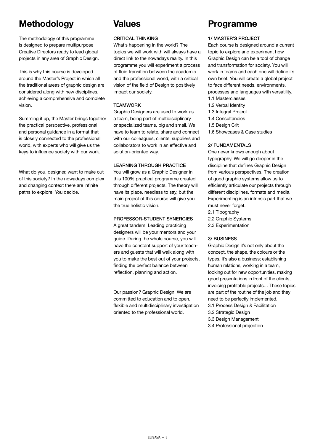# **Methodology**

The methodology of this programme is designed to prepare multipurpose Creative Directors ready to lead global projects in any area of Graphic Design.

This is why this course is developed around the Master's Project in which all the traditional areas of graphic design are considered along with new disciplines, achieving a comprehensive and complete vision.

Summing it up, the Master brings together the practical perspective, professional and personal guidance in a format that is closely connected to the professional world, with experts who will give us the keys to influence society with our work.

What do you, designer, want to make out of this society? In the nowadays complex and changing context there are infinite paths to explore. You decide.

# Values

# CRITICAL THINKING

What's happening in the world? The topics we will work with will always have a direct link to the nowadays reality. In this programme you will experiment a process of fluid transition between the academic and the professional world, with a critical vision of the field of Design to positively impact our society.

# **TEAMWORK**

Graphic Designers are used to work as a team, being part of multidisciplinary or specialized teams, big and small. We have to learn to relate, share and connect with our colleagues, clients, suppliers and collaborators to work in an effective and solution-oriented way.

# LEARNING THROUGH PRACTICE

You will grow as a Graphic Designer in this 100% practical programme created through different projects. The theory will have its place, needless to say, but the main project of this course will give you the true holistic vision.

# PROFESSOR-STUDENT SYNERGIES

A great tandem. Leading practicing designers will be your mentors and your guide. During the whole course, you will have the constant support of your teachers and guests that will walk along with you to make the best out of your projects, finding the perfect balance between reflection, planning and action.

Our passion? Graphic Design. We are committed to education and to open, flexible and multidisciplinary investigation oriented to the professional world.

# Programme

# 1/ MASTER'S PROJECT

Each course is designed around a current topic to explore and experiment how Graphic Design can be a tool of change and transformation for society. You will work in teams and each one will define its own brief. You will create a global project to face different needs, environments, processes and languages with versatility.

- 1.1 Masterclasses
- 1.2 Verbal Identity
- 1.3 Integral Project
- 1.4 Consultancies
- 1.5 Design Crit
- 1.6 Showcases & Case studies

## 2/ FUNDAMENTALS

One never knows enough about typography. We will go deeper in the discipline that defines Graphic Design from various perspectives. The creation of good graphic systems allow us to efficiently articulate our projects through different disciplines, formats and media. Experimenting is an intrinsic part that we must never forget. 2.1 Tipography 2.2 Graphic Systems

2.3 Experimentation

# 3/ BUSINESS

Graphic Design it's not only about the concept, the shape, the colours or the types. It's also a business; establishing human relations, working in a team, looking out for new opportunities, making good presentations in front of the clients, invoicing profitable projects… These topics are part of the routine of the job and they need to be perfectly implemented. 3.1 Process Design & Facilitation 3.2 Strategic Design 3.3 Design Management

3.4 Professional projection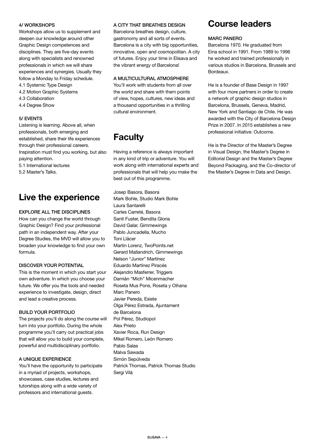#### 4/ WORKSHOPS

Workshops allow us to supplement and deepen our knowledge around other Graphic Design competences and disciplines. They are five-day events along with specialists and renowned professionals in which we will share experiences and synergies. Usually they follow a Monday to Friday schedule. 4.1 Systemic Type Design

- 4.2 Motion Graphic Systems
- 4.3 Collaboration
- 4.4 Degree Show

#### 5/ EVENTS

Listening is learning. Above all, when professionals, both emerging and established, share their life experiences through their professional careers. Inspiration must find you working, but also paying attention.

5.1 International lectures

5.2 Master's Talks.

# Live the experience

#### EXPLORE ALL THE DISCIPLINES

How can you change the world through Graphic Design? Find your professional path in an independent way. After your Degree Studies, the MVD will allow you to broaden your knowledge to find your own formula.

## DISCOVER YOUR POTENTIAL

This is the moment in which you start your own adventure. In which you choose your future. We offer you the tools and needed experience to investigate, design, direct and lead a creative process.

## BUILD YOUR PORTFOLIO

The projects you'll do along the course will turn into your portfolio. During the whole programme you'll carry out practical jobs that will allow you to build your complete, powerful and multidisciplinary portfolio.

## A UNIQUE EXPERIENCE

You'll have the opportunity to participate in a myriad of projects, workshops, showcases, case studies, lectures and tutorships along with a wide variety of professors and international guests.

#### A CITY THAT BREATHES DESIGN

Barcelona breathes design, culture, gastronomy and all sorts of events. Barcelona is a city with big opportunities, innovative, open and cosmopolitan. A city of futures. Enjoy your time in Elisava and the vibrant energy of Barcelona!

#### A MULTICULTURAL ATMOSPHERE

You'll work with students from all over the world and share with them points of view, hopes, cultures, new ideas and a thousand opportunities in a thrilling cultural environment.

# **Faculty**

Having a reference is always important in any kind of trip or adventure. You will work along with international experts and professionals that will help you make the best out of this programme.

Josep Basora, Basora Mark Bohle, Studio Mark Bohle Laura Santarelli Carles Carreté, Basora Santi Fuster, Bendita Gloria David Galar, Gimmewings Pablo Juncadella, Mucho Toni Llàcer Martin Lorenz, TwoPoints.net Gerard Mallandrich, Gimmewings Nelson "Junior" Martínez Eduardo Martínez Piracés Alejandro Masferrer, Triggers Damián "Mich" Micenmacher Roseta Mus Pons, Roseta y Oihana Marc Panero Javier Pereda, Esiete Olga Pérez Estrada, Ajuntament de Barcelona Pol Pérez, Studiopol Alex Prieto Xavier Roca, Run Design Mikel Romero, León Romero Pablo Salas Malva Sawada Simón Sepúlveda Patrick Thomas, Patrick Thomas Studio Sergi Vilà

# Course leaders

#### MARC PANERO

Barcelona 1970. He graduated from Eina school in 1991. From 1989 to 1996 he worked and trained professionally in various studios in Barcelona, Brussels and Bordeaux.

He is a founder of Base Design in 1997 with four more partners in order to create a network of graphic design studios in Barcelona, Brussels, Geneva, Madrid, New York and Santiago de Chile. He was awarded with the City of Barcelona Design Prize in 2007. In 2015 establishes a new professional initiative: Outcome.

He is the Director of the Master's Degree in Visual Design, the Master's Degree in Editorial Design and the Master's Degree Beyond Packaging, and the Co-director of the Master's Degree in Data and Design.